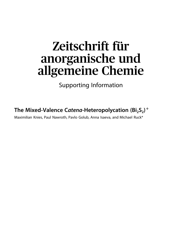## Zeitschrift für anorganische und allgemeine Chemie

Supporting Information

**The Mixed-Valence Catena-Heteropolycation** (Bi<sub>2</sub>S<sub>2</sub>)<sup>+</sup>

Maximilian Knies, Paul Nawroth, Pavlo Golub, Anna Isaeva, and Michael Ruck\*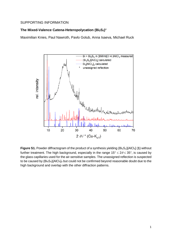## SUPPORTING INFORMATION

## **The Mixed-Valence C***atena***-Heteropolycation (Bi2S2) +**

Maximilian Knies, Paul Nawroth, Pavlo Golub, Anna Isaeva, Michael Ruck



**Figure S1.** Powder diffractogram of the product of a synthesis yielding (Bi<sub>2</sub>S<sub>2</sub>)[AlCl<sub>4</sub>] (1) without further treatment. The high background, especially in the range  $15^{\circ} \le 2\theta \le 35^{\circ}$ , is caused by the glass capillaries used for the air-sensitive samples. The unassigned reflection is suspected to be caused by  $(Bi_4S_4)[A|C_4]_4$  but could not be confirmed beyond reasonable doubt due to the high background and overlap with the other diffraction patterns.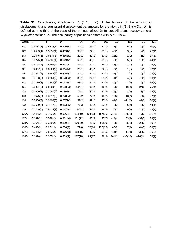**Table S1.** Coordinates, coefficients  $U_{ij}$  ( $/$  10 pm<sup>2</sup>) of the tensors of the anisotropic displacement, and equivalent displacement parameters for the atoms in (Bi<sub>2</sub>S<sub>2</sub>)[AlCl<sub>4</sub>]. *U*<sub>eq</sub> is defined as one third of the trace of the orthogonalized *U*ij tensor. All atoms occupy general Wyckoff positions 4*e*. The occupancy of positions denoted with A or B is  $\frac{1}{2}$ .

| Atom              | $\boldsymbol{x}$ | У         | z         | $U_{11}$ | $U_{22}$ | $U_{33}$ | $U_{23}$ | $U_{13}$  | $U_{12}$  | $\overline{U}_{eq}$ |
|-------------------|------------------|-----------|-----------|----------|----------|----------|----------|-----------|-----------|---------------------|
| Bi1               | 0.5233(1)        | 0.4334(1) | 0.6068(1) | 34(1)    | 36(1)    | 20(1)    | 3(1)     | $-5(1)$   | 6(1)      | 30(1)               |
| Bi <sub>2</sub>   | 0.2433(1)        | 0.3035(1) | 0.4631(1) | 35(1)    | 22(1)    | 25(1)    | $-3(1)$  | 3(1)      | 2(1)      | 27(1)               |
| Bi <sub>3</sub>   | 0.1646(1)        | 0.6179(1) | 0.5668(1) | 29(1)    | 49(1)    | 33(1)    | $-18(1)$ | 1(1)      | $-5(1)$   | 37(1)               |
| Bi4               | 0.0275(1)        | 0.4231(1) | 0.6494(1) | 69(1)    | 45(1)    | 18(1)    | 3(1)     | 5(1)      | 10(1)     | 44(1)               |
| S <sub>1</sub>    | 0.4758(2)        | 0.6293(2) | 0.5479(2) | 31(1)    | 30(1)    | 26(1)    | $-3(1)$  | $-1(1)$   | 6(1)      | 29(1)               |
| S <sub>2</sub>    | 0.2867(2)        | 0.3629(2) | 0.6144(2) | 26(1)    | 48(2)    | 22(1)    | $-2(1)$  | 1(1)      | 3(1)      | 32(1)               |
| S <sub>3</sub>    | 0.2028(2)        | 0.5145(2) | 0.4252(2) | 24(1)    | 21(1)    | 22(1)    | $-1(1)$  | 3(1)      | 0(1)      | 22(1)               |
| S4                | 0.0153(2)        | 0.2860(2) | 0.5232(2) | 30(1)    | 24(1)    | 35(2)    | $-1(1)$  | 4(1)      | $-2(1)$   | 30(1)               |
| AI1               | 0.2139(3)        | 0.3853(3) | 0.1987(2) | 53(2)    | 31(2)    | 22(2)    | $-10(2)$ | $-3(2)$   | 9(2)      | 36(1)               |
| C <sub>11</sub>   | 0.2024(5)        | 0.5604(3) | 0.1938(2) | 144(4)   | 33(2)    | 46(2)    | $-5(2)$  | 16(2)     | 24(2)     | 75(1)               |
| CI2               | 0.1900(3)        | 0.3050(2) | 0.0808(2) | 71(2)    | 42(2)    | 33(2)    | $-15(1)$ | 2(2)      | 3(2)      | 49(1)               |
| C <sub>13</sub>   | 0.0675(3)        | 0.3212(3) | 0.2788(2) | 55(2)    | 72(2)    | 46(2)    | $-19(2)$ | 13(2)     | 3(2)      | 57(1)               |
| C <sub>14</sub>   | 0.3856(3)        | 0.3406(3) | 0.2571(2) | 52(2)    | 49(2)    | 47(2)    | $-1(2)$  | $-11(2)$  | $-1(2)$   | 50(1)               |
| AI2               | 0.2699(4)        | 0.4877(3) | 0.8633(2) | 71(3)    | 31(2)    | 30(2)    | 6(2)     | $-6(2)$   | $-2(2)$   | 44(1)               |
| C <sub>I5</sub>   | 0.2749(4)        | 0.5974(3) | 0.7575(2) | 100(3)   | 45(2)    | 28(2)    | 10(1)    | $-9(2)$   | $-14(2)$  | 58(1)               |
| CI <sub>6</sub> A | 0.449(2)         | 0.452(2)  | 0.906(2)  | 114(10)  | 124(13)  | 157(16)  | 71(11)   | $-74(11)$ | $-7(9)$   | 131(7)              |
| CI7A              | 0.167(2)         | 0.578(2)  | 0.9614(9) | 151(12)  | 37(5)    | 47(7)    | $-14(4)$ | 33(8)     | $-32(7)$  | 78(4)               |
| C <sub>I8</sub> A | 0.164(4)         | 0.349(2)  | 0.839(2)  | 160(20)  | 25(5)    | 56(10)   | $-2(5)$  | 0(11)     | $-23(9)$  | 80(8)               |
| CI6B              | 0.440(2)         | 0.201(2)  | 0.856(2)  | 77(8)    | 96(10)   | 155(15)  | 40(9)    | 7(9)      | 44(7)     | 109(5)              |
| CI7B              | 0.246(2)         | 0.563(2)  | 0.9764(8) | 188(15)  | 40(5)    | 31(5)    | $-11(4)$ | 14(8)     | $-38(9)$  | 86(5)               |
| CI8B              | 0.132(4)         | 0.365(2)  | 0.839(2)  | 137(18)  | 84(17)   | 38(9)    | 10(11)   | $-33(10)$ | $-76(14)$ | 86(9)               |